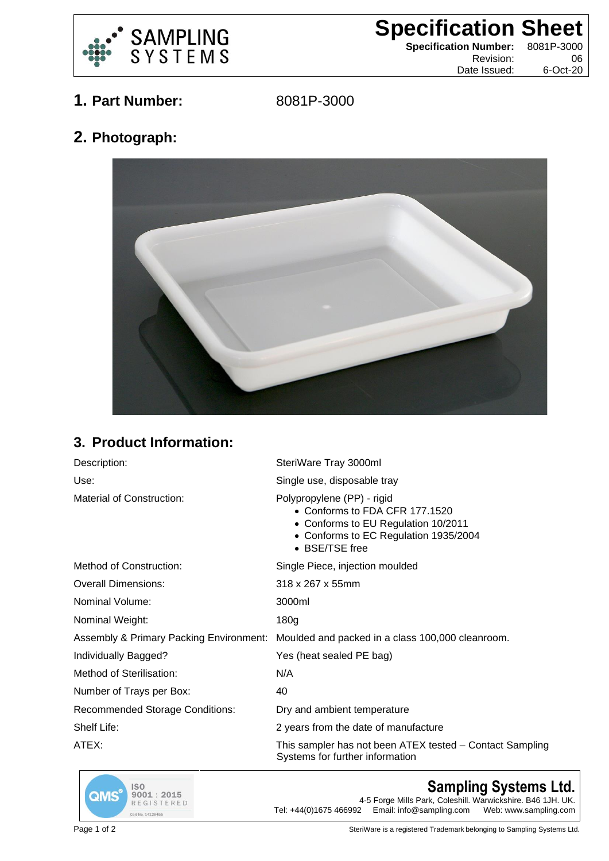

**Specification Sheet**

**Specification Number:** 8081P-3000 Revision: Date Issued: 6-Oct-20

**1. Part Number:** 8081P-3000

**2. Photograph:**



## **3. Product Information:**

| Description:                           | SteriWare Tray 3000ml                                                                                                                                          |
|----------------------------------------|----------------------------------------------------------------------------------------------------------------------------------------------------------------|
| Use:                                   | Single use, disposable tray                                                                                                                                    |
| Material of Construction:              | Polypropylene (PP) - rigid<br>• Conforms to FDA CFR 177.1520<br>• Conforms to EU Regulation 10/2011<br>• Conforms to EC Regulation 1935/2004<br>• BSE/TSE free |
| Method of Construction:                | Single Piece, injection moulded                                                                                                                                |
| <b>Overall Dimensions:</b>             | 318 x 267 x 55mm                                                                                                                                               |
| Nominal Volume:                        | 3000ml                                                                                                                                                         |
| Nominal Weight:                        | 180 <sub>g</sub>                                                                                                                                               |
|                                        | Assembly & Primary Packing Environment: Moulded and packed in a class 100,000 cleanroom.                                                                       |
| Individually Bagged?                   | Yes (heat sealed PE bag)                                                                                                                                       |
| Method of Sterilisation:               | N/A                                                                                                                                                            |
| Number of Trays per Box:               | 40                                                                                                                                                             |
| <b>Recommended Storage Conditions:</b> | Dry and ambient temperature                                                                                                                                    |
| Shelf Life:                            | 2 years from the date of manufacture                                                                                                                           |
| ATEX:                                  | This sampler has not been ATEX tested – Contact Sampling<br>Systems for further information                                                                    |



## **Sampling Systems Ltd.**

4-5 Forge Mills Park, Coleshill. Warwickshire. B46 1JH. UK.<br>Tel: +44(0)1675 466992 Email: info@sampling.com Web: www.sampling.com Email: info@sampling.com

Page 1 of 2 **Page 1** of 2 SteriWare is a registered Trademark belonging to Sampling Systems Ltd.